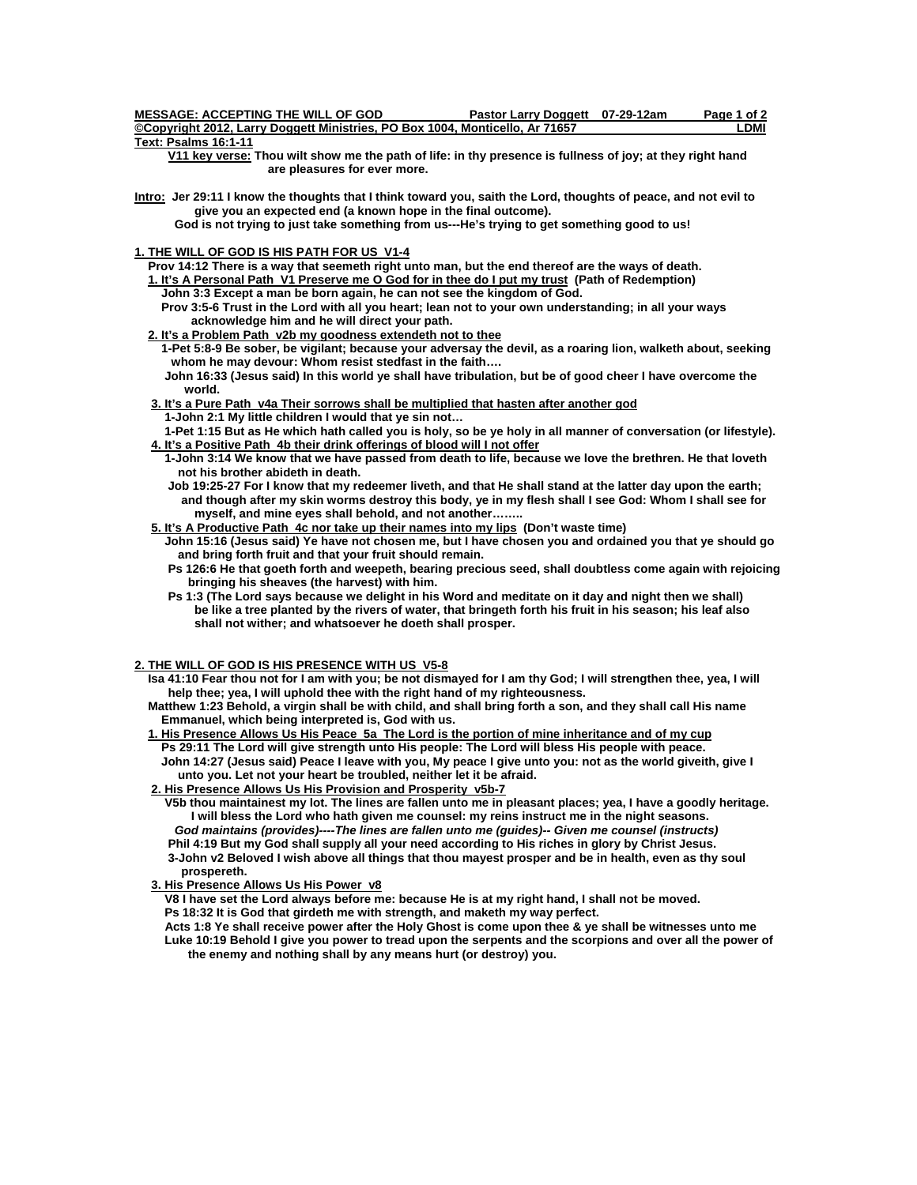| <b>MESSAGE: ACCEPTING THE WILL OF GOD</b>                                    | Pastor Larry Doggett 07-29-12am | Page 1 of 2 |
|------------------------------------------------------------------------------|---------------------------------|-------------|
| ©Copyright 2012, Larry Doggett Ministries, PO Box 1004, Monticello, Ar 71657 |                                 | .DMI        |
| Tavi: Daalma 40-4 44                                                         |                                 |             |

**Text: Psalms 16:1-11** 

 **V11 key verse: Thou wilt show me the path of life: in thy presence is fullness of joy; at they right hand are pleasures for ever more.** 

**Intro: Jer 29:11 I know the thoughts that I think toward you, saith the Lord, thoughts of peace, and not evil to give you an expected end (a known hope in the final outcome).** 

 **God is not trying to just take something from us---He's trying to get something good to us!** 

# **1. THE WILL OF GOD IS HIS PATH FOR US V1-4**

 **Prov 14:12 There is a way that seemeth right unto man, but the end thereof are the ways of death.** 

 **1. It's A Personal Path V1 Preserve me O God for in thee do I put my trust (Path of Redemption) John 3:3 Except a man be born again, he can not see the kingdom of God.** 

 **Prov 3:5-6 Trust in the Lord with all you heart; lean not to your own understanding; in all your ways acknowledge him and he will direct your path.** 

 **2. It's a Problem Path v2b my goodness extendeth not to thee**

 **1-Pet 5:8-9 Be sober, be vigilant; because your adversay the devil, as a roaring lion, walketh about, seeking whom he may devour: Whom resist stedfast in the faith….** 

 **John 16:33 (Jesus said) In this world ye shall have tribulation, but be of good cheer I have overcome the world.** 

 **3. It's a Pure Path v4a Their sorrows shall be multiplied that hasten after another god 1-John 2:1 My little children I would that ye sin not…** 

 **1-Pet 1:15 But as He which hath called you is holy, so be ye holy in all manner of conversation (or lifestyle). 4. It's a Positive Path 4b their drink offerings of blood will I not offer**

- **1-John 3:14 We know that we have passed from death to life, because we love the brethren. He that loveth not his brother abideth in death.**
- **Job 19:25-27 For I know that my redeemer liveth, and that He shall stand at the latter day upon the earth; and though after my skin worms destroy this body, ye in my flesh shall I see God: Whom I shall see for myself, and mine eyes shall behold, and not another……..**

 **5. It's A Productive Path 4c nor take up their names into my lips (Don't waste time)** 

 **John 15:16 (Jesus said) Ye have not chosen me, but I have chosen you and ordained you that ye should go and bring forth fruit and that your fruit should remain.** 

- **Ps 126:6 He that goeth forth and weepeth, bearing precious seed, shall doubtless come again with rejoicing bringing his sheaves (the harvest) with him.**
- **Ps 1:3 (The Lord says because we delight in his Word and meditate on it day and night then we shall) be like a tree planted by the rivers of water, that bringeth forth his fruit in his season; his leaf also shall not wither; and whatsoever he doeth shall prosper.**

## **2. THE WILL OF GOD IS HIS PRESENCE WITH US V5-8**

 **Isa 41:10 Fear thou not for I am with you; be not dismayed for I am thy God; I will strengthen thee, yea, I will help thee; yea, I will uphold thee with the right hand of my righteousness.** 

 **Matthew 1:23 Behold, a virgin shall be with child, and shall bring forth a son, and they shall call His name Emmanuel, which being interpreted is, God with us.** 

#### **1. His Presence Allows Us His Peace 5a The Lord is the portion of mine inheritance and of my cup Ps 29:11 The Lord will give strength unto His people: The Lord will bless His people with peace. John 14:27 (Jesus said) Peace I leave with you, My peace I give unto you: not as the world giveith, give I**

 **unto you. Let not your heart be troubled, neither let it be afraid. 2. His Presence Allows Us His Provision and Prosperity v5b-7**

 **V5b thou maintainest my lot. The lines are fallen unto me in pleasant places; yea, I have a goodly heritage. I will bless the Lord who hath given me counsel: my reins instruct me in the night seasons.** 

*God maintains (provides)----The lines are fallen unto me (guides)-- Given me counsel (instructs)*   **Phil 4:19 But my God shall supply all your need according to His riches in glory by Christ Jesus.** 

 **3-John v2 Beloved I wish above all things that thou mayest prosper and be in health, even as thy soul prospereth.** 

 **3. His Presence Allows Us His Power v8**

 **V8 I have set the Lord always before me: because He is at my right hand, I shall not be moved.** 

 **Ps 18:32 It is God that girdeth me with strength, and maketh my way perfect.** 

 **Acts 1:8 Ye shall receive power after the Holy Ghost is come upon thee & ye shall be witnesses unto me Luke 10:19 Behold I give you power to tread upon the serpents and the scorpions and over all the power of the enemy and nothing shall by any means hurt (or destroy) you.**